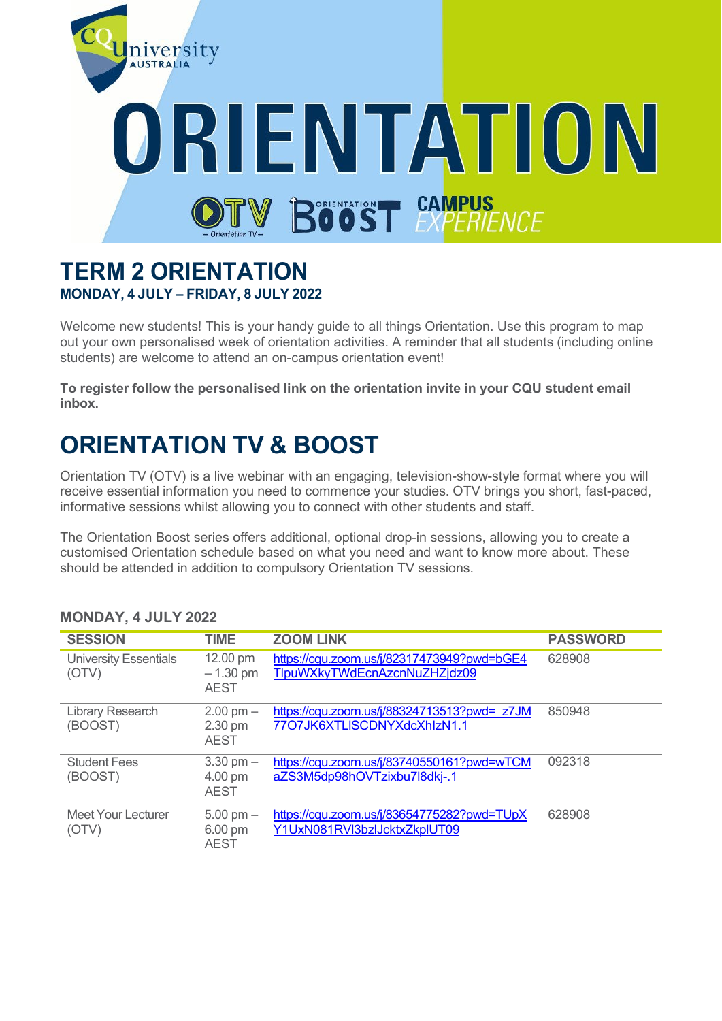

### **TERM 2 ORIENTATION MONDAY, 4 JULY – FRIDAY, 8 JULY 2022**

Welcome new students! This is your handy guide to all things Orientation. Use this program to map out your own personalised week of orientation activities. A reminder that all students (including online students) are welcome to attend an on-campus orientation event!

**To register follow the personalised link on the orientation invite in your CQU student email inbox.**

# **ORIENTATION TV & BOOST**

Orientation TV (OTV) is a live webinar with an engaging, television-show-style format where you will receive essential information you need to commence your studies. OTV brings you short, fast-paced, informative sessions whilst allowing you to connect with other students and staff.

The Orientation Boost series offers additional, optional drop-in sessions, allowing you to create a customised Orientation schedule based on what you need and want to know more about. These should be attended in addition to compulsory Orientation TV sessions.

| <b>SESSION</b>                        | TIME                                          | <b>ZOOM LINK</b>                                                           | <b>PASSWORD</b> |
|---------------------------------------|-----------------------------------------------|----------------------------------------------------------------------------|-----------------|
| <b>University Essentials</b><br>(OTV) | 12.00 pm<br>$-1.30$ pm<br><b>AEST</b>         | https://cqu.zoom.us/j/82317473949?pwd=bGE4<br>TlpuWXkyTWdEcnAzcnNuZHZjdz09 | 628908          |
| <b>Library Research</b><br>(BOOST)    | $2.00$ pm $-$<br>2.30 pm<br><b>AEST</b>       | https://cqu.zoom.us/j/88324713513?pwd= z7JM<br>77O7JK6XTLISCDNYXdcXhlzN1.1 | 850948          |
| <b>Student Fees</b><br>(BOOST)        | $3.30$ pm $-$<br>4.00 pm<br><b>AEST</b>       | https://cqu.zoom.us/j/83740550161?pwd=wTCM<br>aZS3M5dp98hOVTzixbu7l8dkj-.1 | 092318          |
| <b>Meet Your Lecturer</b><br>(OTV)    | $5.00 \text{ pm} -$<br>6.00 pm<br><b>AEST</b> | https://cqu.zoom.us/j/83654775282?pwd=TUpX<br>Y1UxN081RVl3bzlJcktxZkplUT09 | 628908          |

#### **MONDAY, 4 JULY 2022**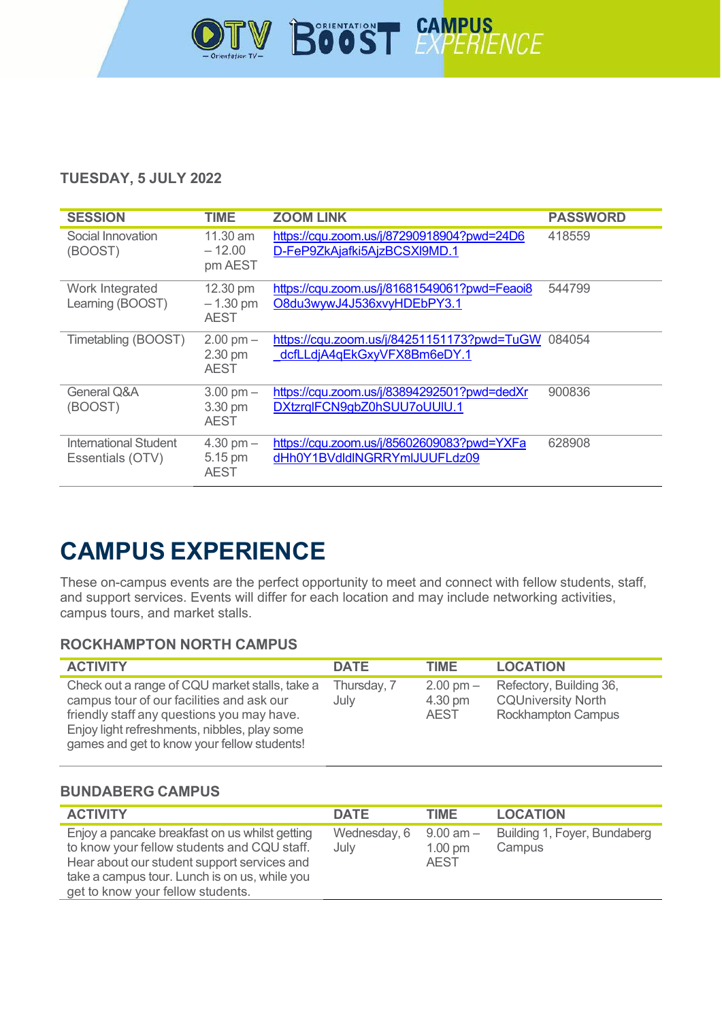

#### **TUESDAY, 5 JULY 2022**

| <b>SESSION</b>                            | <b>TIME</b>                                   | <b>ZOOM LINK</b>                                                           | <b>PASSWORD</b> |
|-------------------------------------------|-----------------------------------------------|----------------------------------------------------------------------------|-----------------|
| Social Innovation<br>(BOOST)              | $11.30$ am<br>$-12.00$<br>pm AEST             | https://cqu.zoom.us/j/87290918904?pwd=24D6<br>D-FeP9ZkAjafki5AjzBCSXI9MD.1 | 418559          |
| Work Integrated<br>Learning (BOOST)       | 12.30 pm<br>$-1.30$ pm<br><b>AEST</b>         | https://cqu.zoom.us/j/81681549061?pwd=Feaoi8<br>O8du3wywJ4J536xvyHDEbPY3.1 | 544799          |
| Timetabling (BOOST)                       | $2.00$ pm $-$<br>2.30 pm<br><b>AEST</b>       | https://cqu.zoom.us/j/84251151173?pwd=TuGW<br>dcfLLdjA4qEkGxyVFX8Bm6eDY.1  | 084054          |
| <b>General Q&amp;A</b><br>(BOOST)         | $3.00 \text{ pm} -$<br>3.30 pm<br><b>AEST</b> | https://cqu.zoom.us/j/83894292501?pwd=dedXr<br>DXtzrqlFCN9gbZ0hSUU7oUUlU.1 | 900836          |
| International Student<br>Essentials (OTV) | $4.30$ pm $-$<br>5.15 pm<br><b>AEST</b>       | https://cqu.zoom.us/j/85602609083?pwd=YXFa<br>dHh0Y1BVdldlNGRRYmlJUUFLdz09 | 628908          |

# **CAMPUS EXPERIENCE**

These on-campus events are the perfect opportunity to meet and connect with fellow students, staff, and support services. Events will differ for each location and may include networking activities, campus tours, and market stalls.

#### **ROCKHAMPTON NORTH CAMPUS**

| <b>ACTIVITY</b>                                                                                                                                                                                                                          | <b>DATE</b>         | TIME                                          | <b>LOCATION</b>                                                                   |
|------------------------------------------------------------------------------------------------------------------------------------------------------------------------------------------------------------------------------------------|---------------------|-----------------------------------------------|-----------------------------------------------------------------------------------|
| Check out a range of CQU market stalls, take a<br>campus tour of our facilities and ask our<br>friendly staff any questions you may have.<br>Enjoy light refreshments, nibbles, play some<br>games and get to know your fellow students! | Thursday, 7<br>July | $2.00 \text{ pm} -$<br>4.30 pm<br><b>AEST</b> | Refectory, Building 36,<br><b>CQUniversity North</b><br><b>Rockhampton Campus</b> |

#### **BUNDABERG CAMPUS**

| <b>ACTIVITY</b>                                                                                                                                                                                                                    | <b>DATE</b>          | <b>TIME</b>                                       | <b>LOCATION</b>                        |
|------------------------------------------------------------------------------------------------------------------------------------------------------------------------------------------------------------------------------------|----------------------|---------------------------------------------------|----------------------------------------|
| Enjoy a pancake breakfast on us whilst getting<br>to know your fellow students and CQU staff.<br>Hear about our student support services and<br>take a campus tour. Lunch is on us, while you<br>get to know your fellow students. | Wednesday, 6<br>July | $9.00$ am $-$<br>$1.00 \text{ pm}$<br><b>AEST</b> | Building 1, Foyer, Bundaberg<br>Campus |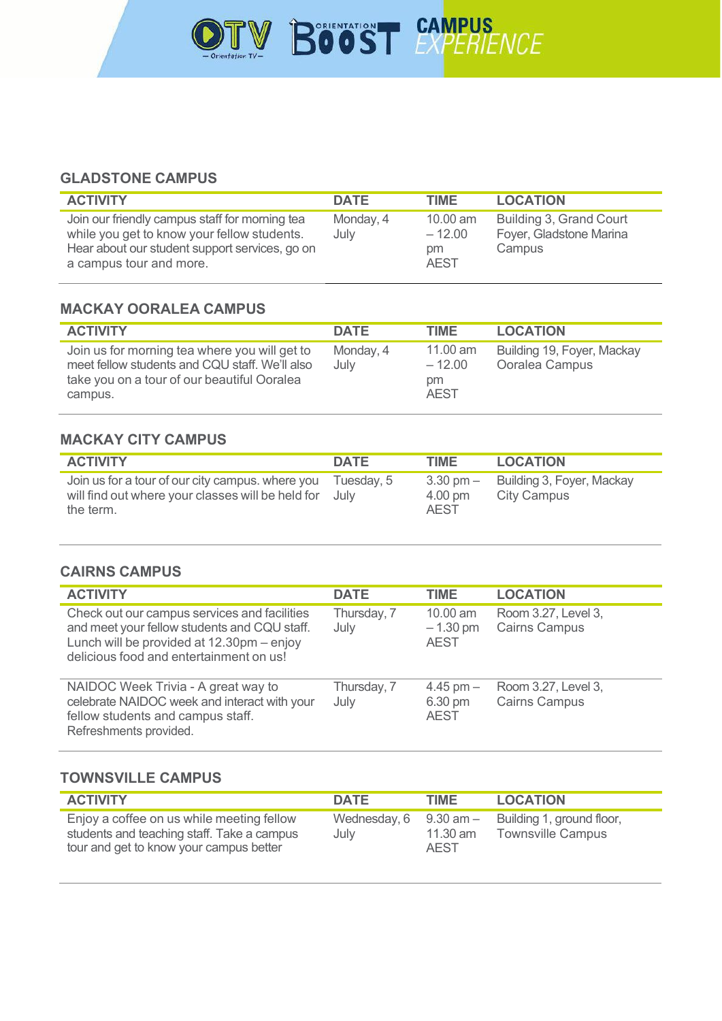

#### **GLADSTONE CAMPUS**

| <b>ACTIVITY</b>                                                                                                                                                            | <b>DATE</b>       | <b>TIME</b>                                 | <b>LOCATION</b>                                              |
|----------------------------------------------------------------------------------------------------------------------------------------------------------------------------|-------------------|---------------------------------------------|--------------------------------------------------------------|
| Join our friendly campus staff for morning tea<br>while you get to know your fellow students.<br>Hear about our student support services, go on<br>a campus tour and more. | Monday, 4<br>July | $10.00$ am<br>$-12.00$<br>pm<br><b>AEST</b> | Building 3, Grand Court<br>Foyer, Gladstone Marina<br>Campus |

#### **MACKAY OORALEA CAMPUS**

| <b>ACTIVITY</b>                                                                                                                                           | <b>DATE</b>       | <b>TIME</b>                                         | <b>LOCATION</b>                              |
|-----------------------------------------------------------------------------------------------------------------------------------------------------------|-------------------|-----------------------------------------------------|----------------------------------------------|
| Join us for morning tea where you will get to<br>meet fellow students and CQU staff. We'll also<br>take you on a tour of our beautiful Ooralea<br>campus. | Monday, 4<br>July | $11.00 \text{ am}$<br>$-12.00$<br>pm<br><b>AEST</b> | Building 19, Foyer, Mackay<br>Ooralea Campus |

#### **MACKAY CITY CAMPUS**

| <b>ACTIVITY</b>                                                                                                         | <b>DATE</b> | TIME                                          | <b>LOCATION</b>                                 |
|-------------------------------------------------------------------------------------------------------------------------|-------------|-----------------------------------------------|-------------------------------------------------|
| Join us for a tour of our city campus. where you<br>will find out where your classes will be held for July<br>the term. | Tuesdav. 5  | $3.30 \text{ pm} -$<br>4.00 pm<br><b>AEST</b> | Building 3, Foyer, Mackay<br><b>City Campus</b> |

#### **CAIRNS CAMPUS**

| <b>ACTIVITY</b>                                                                                                                                                                      | <b>DATE</b>         | <b>TIME</b>                           | <b>LOCATION</b>                             |
|--------------------------------------------------------------------------------------------------------------------------------------------------------------------------------------|---------------------|---------------------------------------|---------------------------------------------|
| Check out our campus services and facilities<br>and meet your fellow students and CQU staff.<br>Lunch will be provided at 12.30pm - enjoy<br>delicious food and entertainment on us! | Thursday, 7<br>July | 10.00 am<br>$-1.30$ pm<br><b>AEST</b> | Room 3.27, Level 3,<br><b>Cairns Campus</b> |
| NAIDOC Week Trivia - A great way to<br>celebrate NAIDOC week and interact with your<br>fellow students and campus staff.<br>Refreshments provided.                                   | Thursday, 7<br>July | 4.45 pm $-$<br>6.30 pm<br><b>AEST</b> | Room 3.27, Level 3,<br><b>Cairns Campus</b> |

#### **TOWNSVILLE CAMPUS**

| <b>ACTIVITY</b>                                                                                                                    | <b>DATE</b>                        | TIME                      | <b>LOCATION</b>                                       |
|------------------------------------------------------------------------------------------------------------------------------------|------------------------------------|---------------------------|-------------------------------------------------------|
| Enjoy a coffee on us while meeting fellow<br>students and teaching staff. Take a campus<br>tour and get to know your campus better | Wednesday, $6$ 9.30 am $-$<br>July | $11.30$ am<br><b>AEST</b> | Building 1, ground floor,<br><b>Townsville Campus</b> |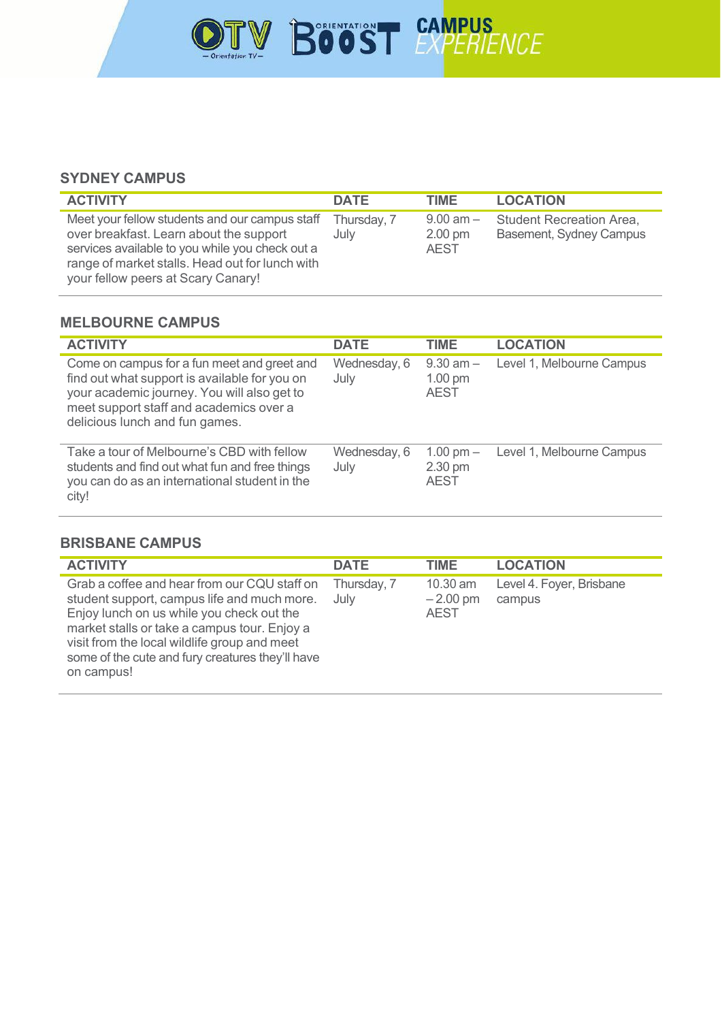

#### **SYDNEY CAMPUS**

| <b>ACTIVITY</b>                                                                                                                                                                                                                       | <b>DATE</b>         | <b>TIME</b>                                       | <b>LOCATION</b>                                            |
|---------------------------------------------------------------------------------------------------------------------------------------------------------------------------------------------------------------------------------------|---------------------|---------------------------------------------------|------------------------------------------------------------|
| Meet your fellow students and our campus staff<br>over breakfast. Learn about the support<br>services available to you while you check out a<br>range of market stalls. Head out for lunch with<br>your fellow peers at Scary Canary! | Thursday, 7<br>July | $9.00$ am $-$<br>$2.00 \text{ pm}$<br><b>AEST</b> | <b>Student Recreation Area,</b><br>Basement, Sydney Campus |

#### **MELBOURNE CAMPUS**

| <b>ACTIVITY</b>                                                                                                                                                                                                          | <b>DATE</b>          | <b>TIME</b>                               | <b>LOCATION</b>           |
|--------------------------------------------------------------------------------------------------------------------------------------------------------------------------------------------------------------------------|----------------------|-------------------------------------------|---------------------------|
| Come on campus for a fun meet and greet and<br>find out what support is available for you on<br>your academic journey. You will also get to<br>meet support staff and academics over a<br>delicious lunch and fun games. | Wednesday, 6<br>July | $9.30$ am $-$<br>$1.00$ pm<br><b>AEST</b> | Level 1, Melbourne Campus |
| Take a tour of Melbourne's CBD with fellow<br>students and find out what fun and free things<br>you can do as an international student in the<br>city!                                                                   | Wednesday, 6<br>July | 1.00 pm $-$<br>2.30 pm<br><b>AEST</b>     | Level 1, Melbourne Campus |

#### **BRISBANE CAMPUS**

| <b>ACTIVITY</b>                                                                                                                                                                                                                                                                                            | <b>DATE</b>         | TIME.                                   | <b>LOCATION</b>                    |
|------------------------------------------------------------------------------------------------------------------------------------------------------------------------------------------------------------------------------------------------------------------------------------------------------------|---------------------|-----------------------------------------|------------------------------------|
| Grab a coffee and hear from our CQU staff on<br>student support, campus life and much more.<br>Enjoy lunch on us while you check out the<br>market stalls or take a campus tour. Enjoy a<br>visit from the local wildlife group and meet<br>some of the cute and fury creatures they'll have<br>on campus! | Thursday, 7<br>July | $10.30$ am<br>$-2.00$ pm<br><b>AEST</b> | Level 4. Foyer, Brisbane<br>campus |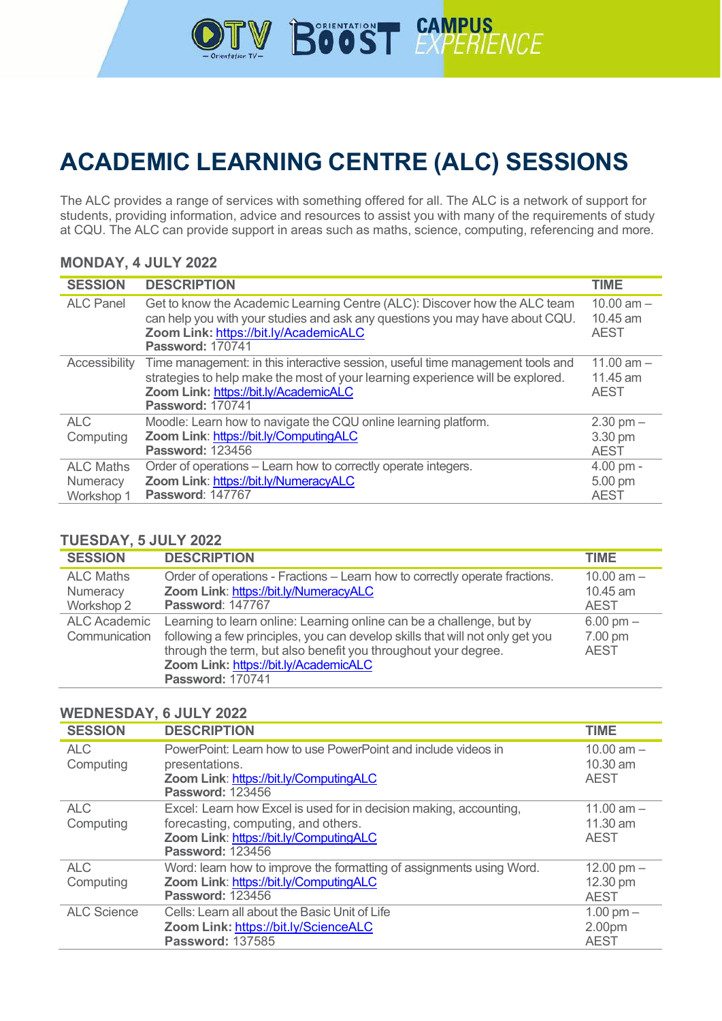

# **ACADEMIC LEARNING CENTRE (ALC) SESSIONS**

The ALC provides a range of services with something offered for all. The ALC is a network of support for students, providing information, advice and resources to assist you with many of the requirements of study at CQU. The ALC can provide support in areas such as maths, science, computing, referencing and more.

#### **MONDAY, 4 JULY 2022**

| <b>SESSION</b>   | <b>DESCRIPTION</b>                                                                                                                                                                                                                   | <b>TIME</b>                             |
|------------------|--------------------------------------------------------------------------------------------------------------------------------------------------------------------------------------------------------------------------------------|-----------------------------------------|
| <b>ALC Panel</b> | Get to know the Academic Learning Centre (ALC): Discover how the ALC team<br>can help you with your studies and ask any questions you may have about CQU.<br>Zoom Link: https://bit.ly/AcademicALC<br><b>Password: 170741</b>        | 10.00 $am -$<br>10.45 am<br><b>AEST</b> |
| Accessibility    | Time management: in this interactive session, useful time management tools and<br>strategies to help make the most of your learning experience will be explored.<br>Zoom Link: https://bit.ly/AcademicALC<br><b>Password: 170741</b> | 11.00 $am -$<br>11.45 am<br><b>AEST</b> |
| <b>ALC</b>       | Moodle: Learn how to navigate the CQU online learning platform.                                                                                                                                                                      | $2.30$ pm $-$                           |
| Computing        | Zoom Link: https://bit.ly/ComputingALC                                                                                                                                                                                               | 3.30 pm                                 |
|                  | <b>Password: 123456</b>                                                                                                                                                                                                              | <b>AEST</b>                             |
| <b>ALC Maths</b> | Order of operations - Learn how to correctly operate integers.                                                                                                                                                                       | $4.00$ pm $-$                           |
| Numeracy         | Zoom Link: https://bit.ly/NumeracyALC                                                                                                                                                                                                | 5.00 pm                                 |
| Workshop 1       | <b>Password: 147767</b>                                                                                                                                                                                                              | <b>AEST</b>                             |

#### **TUESDAY, 5 JULY 2022**

| <b>SESSION</b>                             | <b>DESCRIPTION</b>                                                                                                                                                                                                                                                                          | <b>TIME</b>                                   |
|--------------------------------------------|---------------------------------------------------------------------------------------------------------------------------------------------------------------------------------------------------------------------------------------------------------------------------------------------|-----------------------------------------------|
| <b>ALC Maths</b><br>Numeracy<br>Workshop 2 | Order of operations - Fractions - Learn how to correctly operate fractions.<br>Zoom Link: https://bit.ly/NumeracyALC<br><b>Password: 147767</b>                                                                                                                                             | 10.00 $am -$<br>10.45 am<br><b>AEST</b>       |
| <b>ALC Academic</b><br>Communication       | Learning to learn online: Learning online can be a challenge, but by<br>following a few principles, you can develop skills that will not only get you<br>through the term, but also benefit you throughout your degree.<br>Zoom Link: https://bit.ly/AcademicALC<br><b>Password: 170741</b> | $6.00 \text{ pm} -$<br>7.00 pm<br><b>AEST</b> |

#### **WEDNESDAY, 6 JULY 2022**

| <b>SESSION</b>          | <b>DESCRIPTION</b>                                                                                                                                                             | <b>TIME</b>                                  |
|-------------------------|--------------------------------------------------------------------------------------------------------------------------------------------------------------------------------|----------------------------------------------|
| <b>ALC</b><br>Computing | PowerPoint: Learn how to use PowerPoint and include videos in<br>presentations.<br>Zoom Link: https://bit.ly/ComputingALC<br><b>Password: 123456</b>                           | 10.00 $am -$<br>10.30 am<br><b>AEST</b>      |
| <b>ALC</b><br>Computing | Excel: Learn how Excel is used for in decision making, accounting,<br>forecasting, computing, and others.<br>Zoom Link: https://bit.ly/ComputingALC<br><b>Password: 123456</b> | 11.00 $am -$<br>11.30 am<br><b>AEST</b>      |
| <b>ALC</b><br>Computing | Word: learn how to improve the formatting of assignments using Word.<br>Zoom Link: https://bit.ly/ComputingALC<br><b>Password: 123456</b>                                      | 12.00 pm $-$<br>12.30 pm<br><b>AEST</b>      |
| <b>ALC Science</b>      | Cells: Learn all about the Basic Unit of Life<br>Zoom Link: https://bit.ly/ScienceALC<br><b>Password: 137585</b>                                                               | $1.00 \text{ pm} -$<br>2.00pm<br><b>AEST</b> |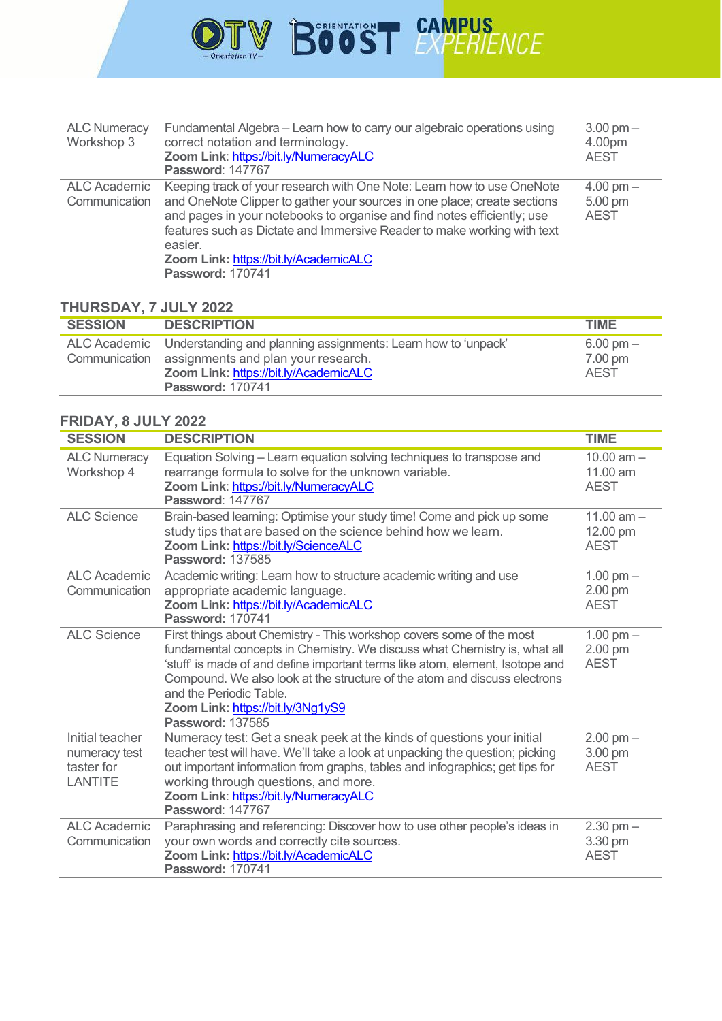

| <b>ALC Numeracy</b><br>Workshop 3    | Fundamental Algebra – Learn how to carry our algebraic operations using<br>correct notation and terminology.<br>Zoom Link: https://bit.ly/NumeracyALC<br><b>Password: 147767</b>                                                                                                                                                                                                        | $3.00 \text{ pm} -$<br>4.00pm<br><b>AEST</b>  |
|--------------------------------------|-----------------------------------------------------------------------------------------------------------------------------------------------------------------------------------------------------------------------------------------------------------------------------------------------------------------------------------------------------------------------------------------|-----------------------------------------------|
| <b>ALC Academic</b><br>Communication | Keeping track of your research with One Note: Learn how to use OneNote<br>and OneNote Clipper to gather your sources in one place; create sections<br>and pages in your notebooks to organise and find notes efficiently; use<br>features such as Dictate and Immersive Reader to make working with text<br>easier.<br>Zoom Link: https://bit.ly/AcademicALC<br><b>Password: 170741</b> | $4.00 \text{ pm} -$<br>5.00 pm<br><b>AEST</b> |

#### **THURSDAY, 7 JULY 2022**

| <b>SESSION</b> | <b>DESCRIPTION</b>                                                                                                                                                       | <b>TIME</b>                                   |
|----------------|--------------------------------------------------------------------------------------------------------------------------------------------------------------------------|-----------------------------------------------|
|                | ALC Academic Understanding and planning assignments: Learn how to 'unpack'<br>Communication assignments and plan your research.<br>Zoom Link: https://bit.ly/AcademicALC | $6.00 \text{ pm} -$<br>7.00 pm<br><b>AFST</b> |
|                | <b>Password: 170741</b>                                                                                                                                                  |                                               |

### **FRIDAY, 8 JULY 2022**

| <b>SESSION</b>                                            | <b>DESCRIPTION</b>                                                                                                                                                                                                                                                                                                                                                                                         | <b>TIME</b>                             |
|-----------------------------------------------------------|------------------------------------------------------------------------------------------------------------------------------------------------------------------------------------------------------------------------------------------------------------------------------------------------------------------------------------------------------------------------------------------------------------|-----------------------------------------|
| <b>ALC Numeracy</b><br>Workshop 4                         | Equation Solving - Learn equation solving techniques to transpose and<br>rearrange formula to solve for the unknown variable.<br>Zoom Link: https://bit.ly/NumeracyALC<br><b>Password: 147767</b>                                                                                                                                                                                                          | 10.00 $am -$<br>11.00 am<br><b>AEST</b> |
| <b>ALC Science</b>                                        | Brain-based learning: Optimise your study time! Come and pick up some<br>study tips that are based on the science behind how we learn.<br>Zoom Link: https://bit.ly/ScienceALC<br><b>Password: 137585</b>                                                                                                                                                                                                  | 11.00 $am -$<br>12.00 pm<br><b>AEST</b> |
| <b>ALC Academic</b><br>Communication                      | Academic writing: Learn how to structure academic writing and use<br>appropriate academic language.<br>Zoom Link: https://bit.ly/AcademicALC<br><b>Password: 170741</b>                                                                                                                                                                                                                                    | $1.00$ pm $-$<br>2.00 pm<br><b>AEST</b> |
| <b>ALC Science</b>                                        | First things about Chemistry - This workshop covers some of the most<br>fundamental concepts in Chemistry. We discuss what Chemistry is, what all<br>'stuff' is made of and define important terms like atom, element, Isotope and<br>Compound. We also look at the structure of the atom and discuss electrons<br>and the Periodic Table.<br>Zoom Link: https://bit.ly/3Ng1yS9<br><b>Password: 137585</b> | $1.00$ pm $-$<br>2.00 pm<br><b>AEST</b> |
| Initial teacher<br>numeracy test<br>taster for<br>LANTITE | Numeracy test: Get a sneak peek at the kinds of questions your initial<br>teacher test will have. We'll take a look at unpacking the question; picking<br>out important information from graphs, tables and infographics; get tips for<br>working through questions, and more.<br>Zoom Link: https://bit.ly/NumeracyALC<br><b>Password: 147767</b>                                                         | $2.00$ pm $-$<br>3.00 pm<br><b>AEST</b> |
| <b>ALC Academic</b><br>Communication                      | Paraphrasing and referencing: Discover how to use other people's ideas in<br>your own words and correctly cite sources.<br>Zoom Link: https://bit.ly/AcademicALC<br><b>Password: 170741</b>                                                                                                                                                                                                                | $2.30$ pm $-$<br>3.30 pm<br><b>AEST</b> |